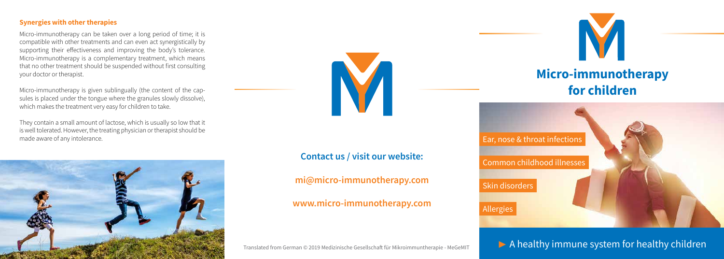### **Synergies with other therapies**

Micro-immunotherapy can be taken over a long period of time; it is compatible with other treatments and can even act synergistically by supporting their effectiveness and improving the body's tolerance. Micro-immunotherapy is a complementary treatment, which means that no other treatment should be suspended without first consulting your doctor or therapist.

Micro-immunotherapy is given sublingually (the content of the capsules is placed under the tongue where the granules slowly dissolve), which makes the treatment very easy for children to take.

They contain a small amount of lactose, which is usually so low that it is well tolerated. However, the treating physician or therapist should be made aware of any intolerance.





Skin disorders Common childhood illnesses Ear, nose & throat infections

Allergies



## **Micro-immunotherapy for children**



 $\triangleright$  A healthy immune system for healthy children

# **Contact us / visit our website:**

**mi@micro-immunotherapy.com**

### **www.micro-immunotherapy.com**

Translated from German © 2019 Medizinische Gesellschaft für Mikroimmuntherapie - MeGeMIT